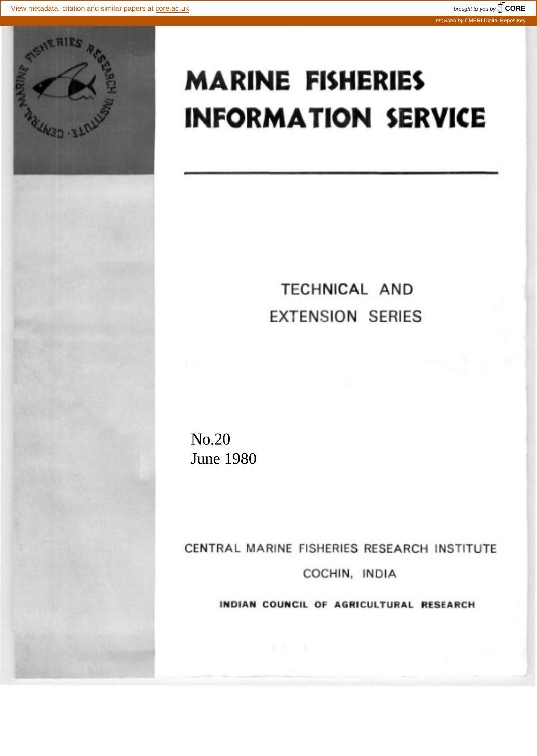

## **MARINE FISHERIES INFORMATION SERVICE**

## TECHNICAL AND **EXTENSION SERIES**

No.20 June 1980

CENTRAL MARINE FISHERIES RESEARCH INSTITUTE COCHIN, INDIA

INDIAN COUNCIL OF AGRICULTURAL RESEARCH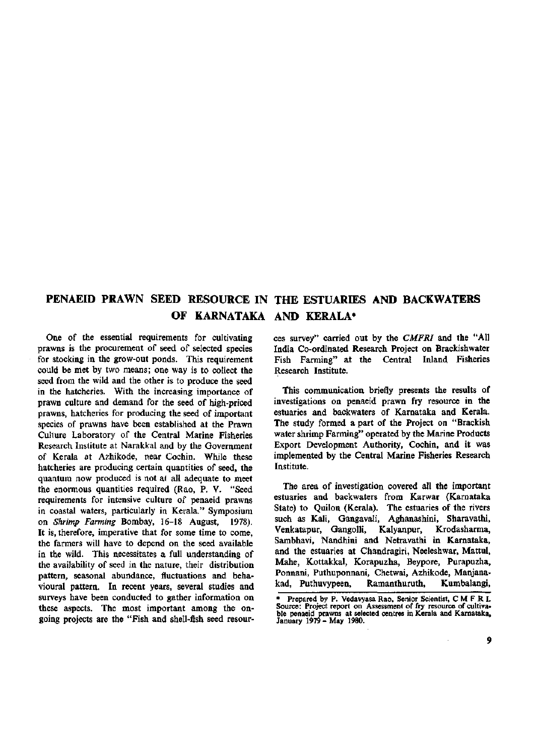## **PENAEID PRAWN SEED RESOURCE IN THE ESTUARIES AND BACKWATERS OF KARNATAKA AND KERALA\***

One of the essential requirements for cultivating prawns is the procurement of seed of selected species for stocking in the grow-out ponds. This requirement could be met by two means; one way is to collect the seed from the wild and the other is to produce the seed in the hatcheries. With the increasing importance of prawn culture and demand for the seed of high-priced prawns, hatcheries for producing the seed of important species of prawns have been established at the Prawn Culture Laboratory of the Central Marine Fisheries Research Institute at Narakkal and by the Government of Kerala at Azhikode, near Cochin. While these hatcheries are producing certain quantities of seed, the quantum now produced is not at all adequate to meet the enormous quantities required (Rao, P. V. "Seed requirements for intensive culture of penaeid prawns in coastal waters, particularly in Kerala." Symposium on *Shrimp Farming* Bombay, 16-18 August, 1978). It is, therefore, imperative that for some time to come, the farmers will have to depend on the seed available in the wild. This necessitates a full understanding of the availability of seed in the nature, their distribution pattern, seasonal abundance, fluctuations and behavioural pattern. In recent years, several studies and surveys have been conducted to gather information on these aspects. The most important among the ongoing projects are the "Fish and shell-fish seed resources survey" carried out by the *CMFRI* and the "All India Co-ordinated Research Project on Brackishwater Fish Farming" at the Central Inland Fisheries Research Institute.

This communication briefly presents the results of investigations on penaeid prawn fry resource in the estuaries and backwaters of Kamataka and Kerala. The study formed a part of the Project on "Brackish water shrimp Farming" operated by the Marine Products Export Development Authority, Cochin, and it was implemented by the Central Marine Fisheries Research Institute.

The area of investigation covered all the important estuaries and backwaters from Karwar (Kamataka State) to Quilon (Kerala). The estuaries of the rivers such as Kali, Gangavali, Aghanashini, Sharavathi, Venkatapur, Gangolli, Kalyanpur, Krodasharma, Sambhavi, Nandhini and Netravathi in Kamataka, and the estuaries at Chandragiri, Neeleshwar, Mattul, Mahe, Kottakkal, Korapuzha, Beypore, Purapuzha, Ponnani, Puthuponnani, Chetwai, Azhikode, Manjanakad, Puthuvypeen, Ramanthuruth, Kumbalangi,

Prepared by P. Vedavyasa Rao, Senior Scientist, CMFRI. Source: Project report on Assessment of fry resource of cultivable penaeid prawns at selected centres in Kerala and Karnataka, January 1979 - May 1980.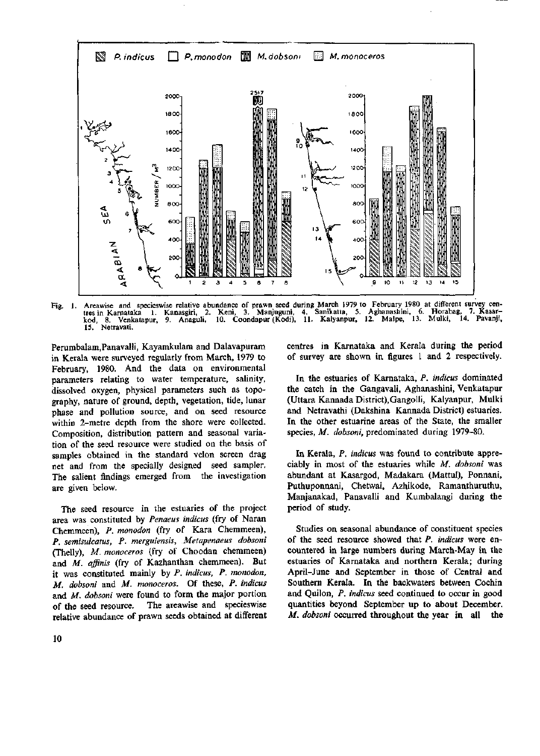

Fig. 1. Areawise and specieswise relative abundance of prawn seed during March 1979 to February 1980 at different survey cen-<br>- tres in Karnataka 1. Kanasgiri, 2. Keni, 3. Manjuguni, 4. Sanikatta, 5. Aghanashini, 6. Horaba kod, 8. Venkatapur, 9. Anaguli, 10. Coondapur (Kodi), 11. Kalyanpur, 12. Malpe, 13. Mulki, 14. Pavanji, kod, 8. Venk<br>15. Netravati.

Pemmbalam.Panavalli, Kayamkulam and Dalavapuram in Kerala were surveyed regularly from March, 1979 to February, 1980. And the data on environmental parameters relating to water temperature, salinity, dissolved oxygen, physical parameters such as topography, nature of ground, depth, vegetation, tide, lunar phase and pollution source, and on seed resource within 2-metre depth from the shore were collected. Composition, distribution pattern and seasonal variation of the seed resource were studied on the basis of samples obtained in the standard velon screen drag net and from the specially designed seed sampler. The salient findings emerged from the investigation are given below.

The seed resource in the estuaries of the project area was constituted by *Penaeus indicus* (fry of Naran Chemmeen), *P. monodon* (fry of Kara Chemmeen), *P. semisulcatus, P. merguiensis, Metapenaeus dobsoni*  (Thelly), *M. monoceros* (fry of Choodan chemmeen) and *M. affinis* (fry of Kazhanthan chemmeen). But it was constituted mainly by *P. indicus, P. monodon, M. dobsoni* and *M. monoceros.* Of these, *P. indicus*  and *M. dobsoni* were found to form the major portion of the seed resource. The areawise and specieswise relative abundance of prawn seeds obtained at different centres in Karnataka and Kerala during the period of survey are shown in figures 1 and 2 respectively.

In the estuaries of Karnataka, *P. indicus* dominated the catch in the Gangavali, Aghanashini, Venkatapur (Uttara Kannada District),Gangolli, Kalyanpur, Mulki and Netravathi (Dakshina Kannada District) estuaries. In the other estuarine areas of the State, the smaller species, *M. dobsoni,* predominated during 1979-80.

In Kerala, *P. indicus* was found to contribute appreciably in most of the estuaries while *M. dobsoni* was abundant at Kasargod, Madakara (Mattul), Ponnani, Puthuponnani, Chetwai, Azhikode, Ramanthuruthu, Manjanakad, Panavalli and Kumbalangi during the period of study.

Studies on seasonal abundance of constituent species of the seed resource showed that *P. indicus* were encountered in large numbers during March-May in the estuaries of Karnataka and northern Kerala; during April-June and September in those of Central and Southern Kerala. In the backwaters between Cochin and Quilon, *P. indicus* seed continued to occur in good quantities beyond September up to about December. *M. dobsoni* occurred throughout the year in all the